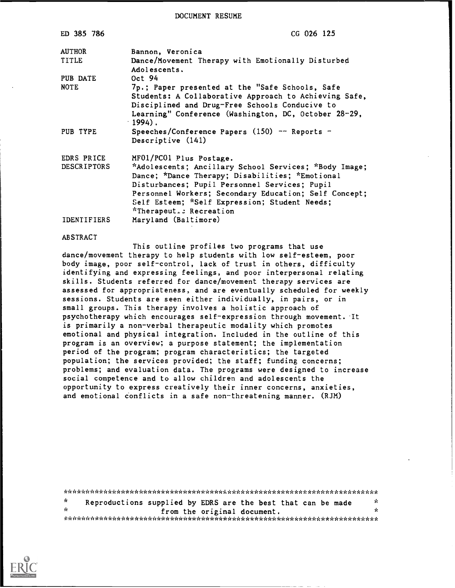DOCUMENT RESUME

| ED 385 786                       | CG 026 125                                                                                                                                                                                                                                                                                                                |
|----------------------------------|---------------------------------------------------------------------------------------------------------------------------------------------------------------------------------------------------------------------------------------------------------------------------------------------------------------------------|
| <b>AUTHOR</b><br>TITLE           | Bannon, Veronica<br>Dance/Movement Therapy with Emotionally Disturbed<br>Adolescents.                                                                                                                                                                                                                                     |
| PUB DATE<br><b>NOTE</b>          | Oct 94<br>7p.; Paper presented at the "Safe Schools, Safe                                                                                                                                                                                                                                                                 |
|                                  | Students: A Collaborative Approach to Achieving Safe,<br>Disciplined and Drug-Free Schools Conducive to<br>Learning" Conference (Washington, DC, October 28-29,<br>$-1994$ .                                                                                                                                              |
| PUB TYPE                         | Speeches/Conference Papers $(150)$ -- Reports -<br>Descriptive (141)                                                                                                                                                                                                                                                      |
| EDRS PRICE<br><b>DESCRIPTORS</b> | MF01/PC01 Plus Postage.<br>*Adolescents; Ancillary School Services; *Body Image;<br>Dance; *Dance Therapy; Disabilities; *Emotional<br>Disturbances; Pupil Personnel Services; Pupil<br>Personnel Workers; Secondary Education; Self Concept;<br>Self Esteem; *Self Expression; Student Needs;<br>*Therapeut.: Recreation |
| <b>IDENTIFIERS</b>               | Maryland (Baltimore)                                                                                                                                                                                                                                                                                                      |

#### **ABSTRACT**

This outline profiles two programs that use dance/movement therapy to help students with low self-esteem, poor body image, poor self-control, lack of trust in others, difficulty identifying and expressing feelings, and poor interpersonal relating skills. Students referred for dance/movement therapy services are assessed for appropriateness, and are eventually scheduled for weekly sessions. Students are seen either individually, in pairs, or in small groups. This therapy involves a holistic approach of psychotherapy which encourages self-expression through movement. It is primarily a non-verbal therapeutic modality which promotes emotional and physical integration. Included in the outline of this program is an overview; a purpose statement; the implementation period of the program; program characteristics; the targeted population; the services provided; the staff; funding concerns; problems; and evaluation data. The programs were designed to increase social competence and to allow children and adolescents the opportunity to express creatively their inner concerns, anxieties, and emotional conflicts in a safe non-threatening manner. (RJM)

| ÷.  | Reproductions supplied by EDRS are the best that can be made |                             |  |  |  |  |  |  |  |  |  | r'e  |  |
|-----|--------------------------------------------------------------|-----------------------------|--|--|--|--|--|--|--|--|--|------|--|
| de. |                                                              | from the original document. |  |  |  |  |  |  |  |  |  | de l |  |
|     |                                                              |                             |  |  |  |  |  |  |  |  |  |      |  |

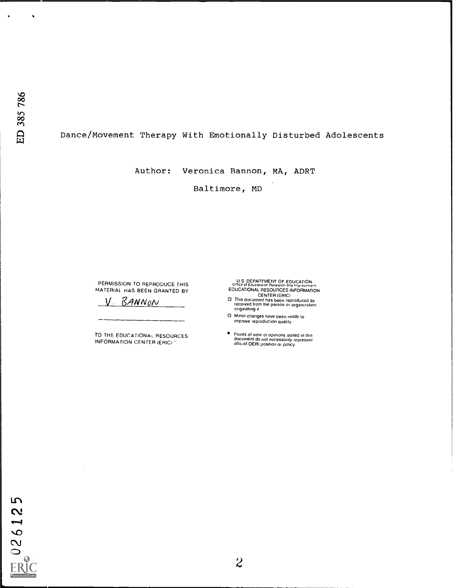$\bullet$ 

# Dance/Movement Therapy With Emotionally Disturbed Adolescents

Author: Veronica Bannon, MA, ADRT

Baltimore, MD

PERMISSION TO REPRODUCE THIS MATERIAL HAS BEEN GRANTED BY

V. BANNON

TO THE EDUCATIONAL RESOURCES **INFORMATION CENTER (ERIC)** 

U.S. DEPARTMENT OF EDUCATION<br>
C<sup>Hice</sup> of Educational Research and Improvement<br>
EDUCATIONAL RESOURCES INFORMATION<br>
CENTER (ERIC)<br>
CENTER (ERIC)<br>
CENTER (ERIC)<br>
CENTER (ERIC)<br>
This document has been reproduced as<br>
received f

- originating it
- C) Minor changes have been inade to improve reproduction quality
- Points of view or opinions stated in this<br>document do not necessarily represent<br>official OERI position or policy



 $\mathcal{A}$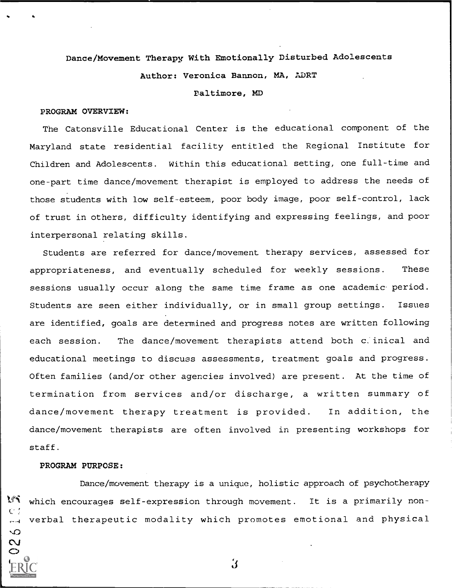#### Dance/Movement Therapy With Emotionally Disturbed Adolescents

Author: Veronica Bannon, MA, ADRT

Baltimore, MD

#### PROGRAM OVERVIEW:

The Catonsville Educational Center is the educational component of the Maryland state residential facility entitled the Regional Institute for Children and Adolescents. Within this educational setting, one full-time and one-part time dance/movement therapist is employed to address the needs of those students with low self-esteem, poor body image, poor self-control, lack of trust in others, difficulty identifying and expressing feelings, and poor interpersonal relating skills.

Students are referred for dance/movement therapy services, assessed for appropriateness, and eventually scheduled for weekly sessions. These sessions usually occur along the same time frame as one academic- period. Students are seen either individually, or in small group settings. Issues are identified, goals are determined and progress notes are written following each session. The dance/movement therapists attend both c.inical and educational meetings to discuss assessments, treatment goals and progress. Often families (and/or other agencies involved) are present. At the time of termination from services and/or discharge, a written summary of dance/movement therapy treatment is provided. In addition, the dance/movement therapists are often involved in presenting workshops for staff.

#### PROGRAM PURPOSE:

い N

Dance/movement therapy is a unique, holistic approach of psychotherapy VS which encourages self-expression through movement. It is a primarily nonverbal therapeutic modality which promotes emotional and physical

 $\mathbf{3}$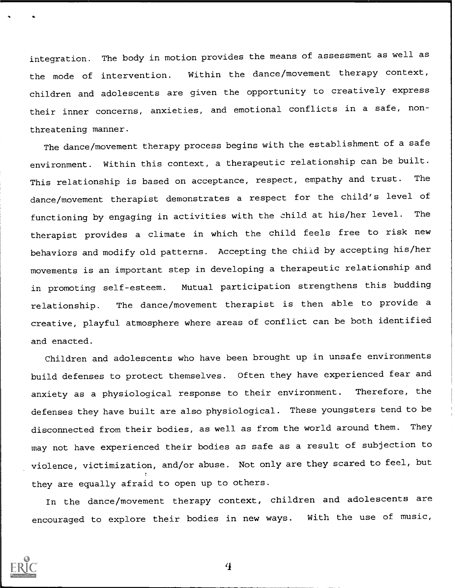integration. The body in motion provides the means of assessment as well as the mode of intervention. Within the dance/movement therapy context, children and adolescents are given the opportunity to creatively express their inner concerns, anxieties, and emotional conflicts in a safe, nonthreatening manner.

The dance/movement therapy process begins with the establishment of a safe environment. Within this context, a therapeutic relationship can be built. This relationship is based on acceptance, respect, empathy and trust. The dance/movement therapist demonstrates a respect for the child's level of functioning by engaging in activities with the child at his/her level. The therapist provides a climate in which the child feels free to risk new behaviors and modify old patterns. Accepting the child by accepting his/her movements is an important step in developing a therapeutic relationship and in promoting self-esteem. Mutual participation strengthens this budding relationship. The dance/movement therapist is then able to provide a creative, playful atmosphere where areas of conflict can be both identified and enacted.

Children and adolescents who have been brought up in unsafe environments build defenses to protect themselves. Often they have experienced fear and anxiety as a physiological response to their environment. Therefore, the defenses they have built are also physiological. These youngsters tend to be disconnected from their bodies, as well as from the world around them. They may not have experienced their bodies as safe as a result of subjection to violence, victimization, and/or abuse. Not only are they scared to feel, but they are equally afraid to open up to others.

In the dance/movement therapy context, children and adolescents are encouraged to explore their bodies in new ways. With the use of music,



 $\bf{4}$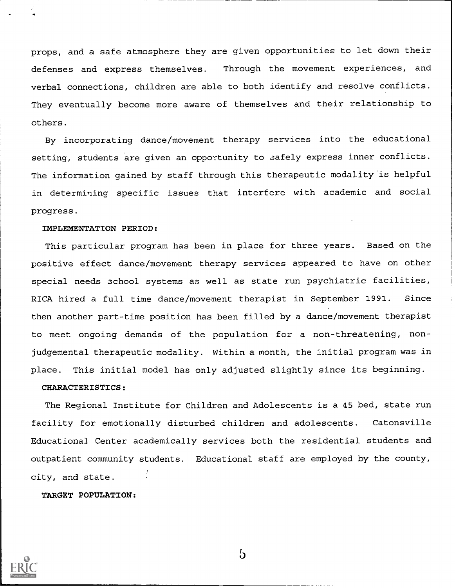props, and a safe atmosphere they are given opportunities to let down their defenses and express themselves. Through the movement experiences, and verbal connections, children are able to both identify and resolve conflicts. They eventually become more aware of themselves and their relationship to others.

By incorporating dance/movement therapy services into the educational setting, students are given an opportunity to safely express inner conflicts. The information gained by staff through this therapeutic modality 'is helpful in determining specific issues that interfere with academic and social progress.

### IMPLEMENTATION PERIOD:

This particular program has been in place for three years. Based on the positive effect dance/movement therapy services appeared to have on other special needs school systems as well as state run psychiatric facilities, RICA hired a full time dance/movement therapist in September 1991. Since then another part-time position has been filled by a dance/movement therapist to meet ongoing demands of the population for a non-threatening, nonjudgemental therapeutic modality. Within a month, the initial program was in place. This initial model has only adjusted slightly since its beginning.

#### CHARACTERISTICS:

The Regional Institute for Children and Adolescents is a 45 bed, state run facility for emotionally disturbed children and adolescents. Catonsville Educational Center academically services both the residential students and outpatient community students. Educational staff are employed by the county, city, and state.

TARGET POPULATION:



b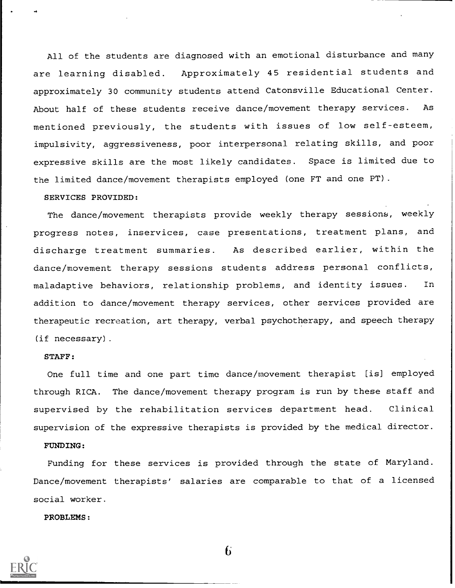All of the students are diagnosed with an emotional disturbance and many are learning disabled. Approximately 45 residential students and approximately 30 community students attend Catonsville Educational Center. About half of these students receive dance/movement therapy services. As mentioned previously, the students with issues of low self-esteem, impulsivity, aggressiveness, poor interpersonal relating skills, and poor expressive skills are the most likely candidates. Space is limited due to the limited dance/movement therapists employed (one FT and one PT).

#### SERVICES PROVIDED:

The dance/movement therapists provide weekly therapy sessions, weekly progress notes, inservices, case presentations, treatment plans, and discharge treatment summaries. As described earlier, within the dance/movement therapy sessions students address personal conflicts, maladaptive behaviors, relationship problems, and identity issues. In addition to dance/movement therapy services, other services provided are therapeutic recreation, art therapy, verbal psychotherapy, and speech therapy (if necessary).

#### STAFF:

One full time and one part time dance/movement therapist [is] employed through RICA. The dance/movement therapy program is run by these staff and supervised by the rehabilitation services department head. Clinical supervision of the expressive therapists is provided by the medical director.

## FUNDING:

Funding for these services is provided through the state of Maryland. Dance/movement therapists' salaries are comparable to that of a licensed social worker.

PROBLEMS:



 $\mathbf{h}$